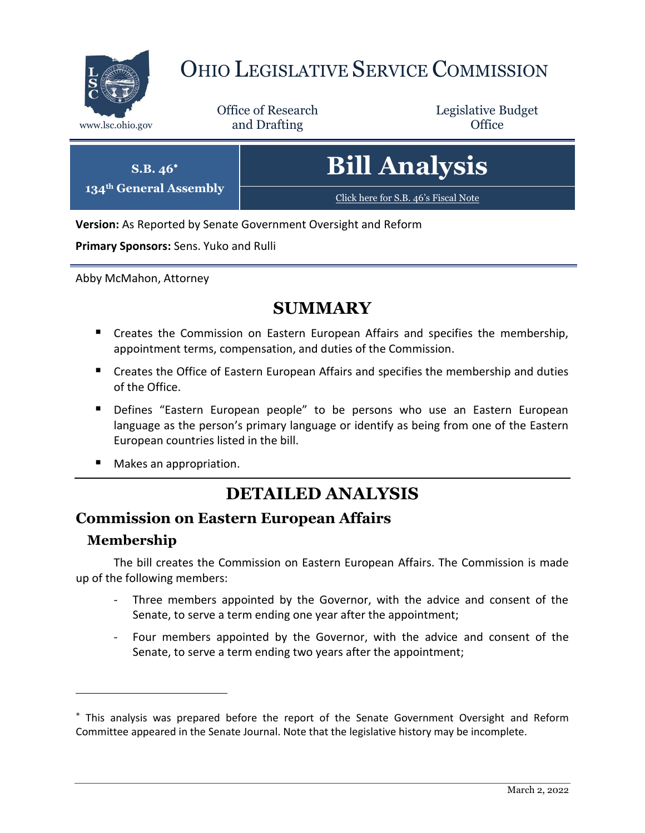

# OHIO LEGISLATIVE SERVICE COMMISSION

Office of Research www.lsc.ohio.gov **and Drafting Office** 

Legislative Budget

| $S.B. 46^*$<br>134 <sup>th</sup> General Assembly | <b>Bill Analysis</b>                 |
|---------------------------------------------------|--------------------------------------|
|                                                   | Click here for S.B. 46's Fiscal Note |

**Version:** As Reported by Senate Government Oversight and Reform

**Primary Sponsors:** Sens. Yuko and Rulli

Abby McMahon, Attorney

# **SUMMARY**

- **E** Creates the Commission on Eastern European Affairs and specifies the membership, appointment terms, compensation, and duties of the Commission.
- **E** Creates the Office of Eastern European Affairs and specifies the membership and duties of the Office.
- **Defines "Eastern European people" to be persons who use an Eastern European** language as the person's primary language or identify as being from one of the Eastern European countries listed in the bill.
- Makes an appropriation.

# **DETAILED ANALYSIS**

### **Commission on Eastern European Affairs**

#### **Membership**

 $\overline{a}$ 

The bill creates the Commission on Eastern European Affairs. The Commission is made up of the following members:

- Three members appointed by the Governor, with the advice and consent of the Senate, to serve a term ending one year after the appointment;
- Four members appointed by the Governor, with the advice and consent of the Senate, to serve a term ending two years after the appointment;

This analysis was prepared before the report of the Senate Government Oversight and Reform Committee appeared in the Senate Journal. Note that the legislative history may be incomplete.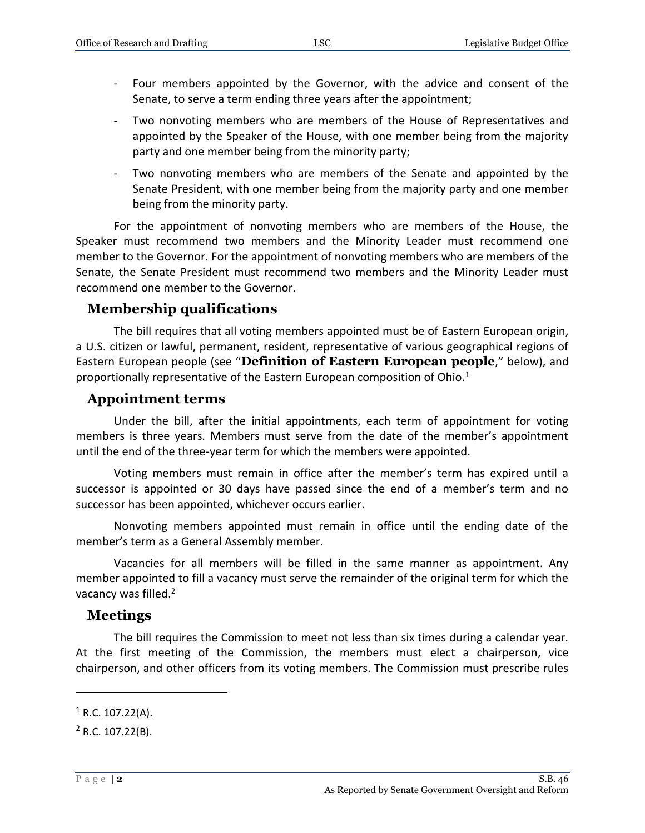- Four members appointed by the Governor, with the advice and consent of the Senate, to serve a term ending three years after the appointment;
- Two nonvoting members who are members of the House of Representatives and appointed by the Speaker of the House, with one member being from the majority party and one member being from the minority party;
- Two nonvoting members who are members of the Senate and appointed by the Senate President, with one member being from the majority party and one member being from the minority party.

For the appointment of nonvoting members who are members of the House, the Speaker must recommend two members and the Minority Leader must recommend one member to the Governor. For the appointment of nonvoting members who are members of the Senate, the Senate President must recommend two members and the Minority Leader must recommend one member to the Governor.

#### **Membership qualifications**

The bill requires that all voting members appointed must be of Eastern European origin, a U.S. citizen or lawful, permanent, resident, representative of various geographical regions of Eastern European people (see "**Definition of Eastern European people**," below), and proportionally representative of the Eastern European composition of Ohio.<sup>1</sup>

#### **Appointment terms**

Under the bill, after the initial appointments, each term of appointment for voting members is three years. Members must serve from the date of the member's appointment until the end of the three-year term for which the members were appointed.

Voting members must remain in office after the member's term has expired until a successor is appointed or 30 days have passed since the end of a member's term and no successor has been appointed, whichever occurs earlier.

Nonvoting members appointed must remain in office until the ending date of the member's term as a General Assembly member.

Vacancies for all members will be filled in the same manner as appointment. Any member appointed to fill a vacancy must serve the remainder of the original term for which the vacancy was filled.<sup>2</sup>

#### **Meetings**

The bill requires the Commission to meet not less than six times during a calendar year. At the first meeting of the Commission, the members must elect a chairperson, vice chairperson, and other officers from its voting members. The Commission must prescribe rules

 $\overline{a}$ 

 $1 R.C. 107.22(A)$ .

 $2$  R.C. 107.22(B).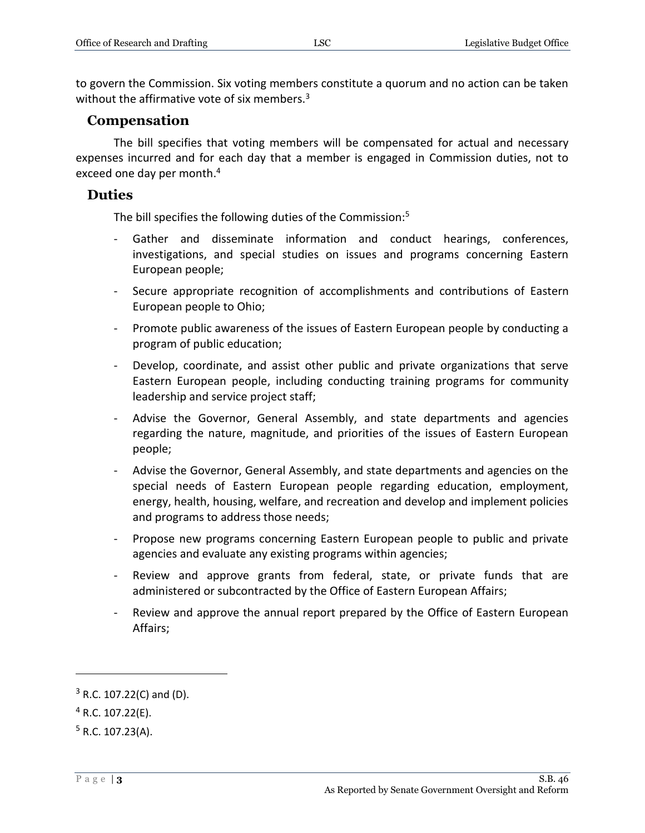to govern the Commission. Six voting members constitute a quorum and no action can be taken without the affirmative vote of six members.<sup>3</sup>

#### **Compensation**

The bill specifies that voting members will be compensated for actual and necessary expenses incurred and for each day that a member is engaged in Commission duties, not to exceed one day per month.<sup>4</sup>

#### **Duties**

The bill specifies the following duties of the Commission:<sup>5</sup>

- Gather and disseminate information and conduct hearings, conferences, investigations, and special studies on issues and programs concerning Eastern European people;
- Secure appropriate recognition of accomplishments and contributions of Eastern European people to Ohio;
- Promote public awareness of the issues of Eastern European people by conducting a program of public education;
- Develop, coordinate, and assist other public and private organizations that serve Eastern European people, including conducting training programs for community leadership and service project staff;
- Advise the Governor, General Assembly, and state departments and agencies regarding the nature, magnitude, and priorities of the issues of Eastern European people;
- Advise the Governor, General Assembly, and state departments and agencies on the special needs of Eastern European people regarding education, employment, energy, health, housing, welfare, and recreation and develop and implement policies and programs to address those needs;
- Propose new programs concerning Eastern European people to public and private agencies and evaluate any existing programs within agencies;
- Review and approve grants from federal, state, or private funds that are administered or subcontracted by the Office of Eastern European Affairs;
- Review and approve the annual report prepared by the Office of Eastern European Affairs;

 $\overline{a}$ 

 $3$  R.C. 107.22(C) and (D).

 $4$  R.C. 107.22(E).

 $5$  R.C. 107.23(A).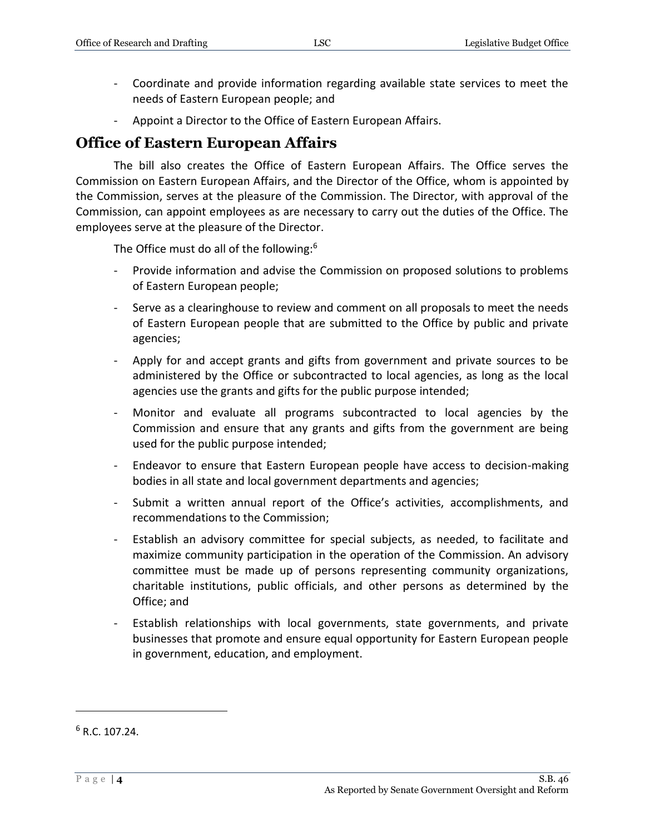- Coordinate and provide information regarding available state services to meet the needs of Eastern European people; and
- Appoint a Director to the Office of Eastern European Affairs.

### **Office of Eastern European Affairs**

The bill also creates the Office of Eastern European Affairs. The Office serves the Commission on Eastern European Affairs, and the Director of the Office, whom is appointed by the Commission, serves at the pleasure of the Commission. The Director, with approval of the Commission, can appoint employees as are necessary to carry out the duties of the Office. The employees serve at the pleasure of the Director.

The Office must do all of the following:<sup>6</sup>

- Provide information and advise the Commission on proposed solutions to problems of Eastern European people;
- Serve as a clearinghouse to review and comment on all proposals to meet the needs of Eastern European people that are submitted to the Office by public and private agencies;
- Apply for and accept grants and gifts from government and private sources to be administered by the Office or subcontracted to local agencies, as long as the local agencies use the grants and gifts for the public purpose intended;
- Monitor and evaluate all programs subcontracted to local agencies by the Commission and ensure that any grants and gifts from the government are being used for the public purpose intended;
- Endeavor to ensure that Eastern European people have access to decision-making bodies in all state and local government departments and agencies;
- Submit a written annual report of the Office's activities, accomplishments, and recommendations to the Commission;
- Establish an advisory committee for special subjects, as needed, to facilitate and maximize community participation in the operation of the Commission. An advisory committee must be made up of persons representing community organizations, charitable institutions, public officials, and other persons as determined by the Office; and
- Establish relationships with local governments, state governments, and private businesses that promote and ensure equal opportunity for Eastern European people in government, education, and employment.

 $\overline{a}$ 

 $6 R. C. 107.24.$